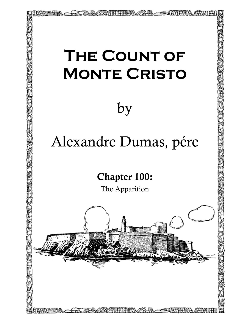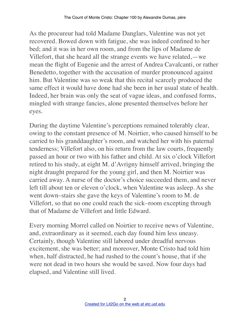As the procureur had told Madame Danglars, Valentine was not yet recovered. Bowed down with fatigue, she was indeed confined to her bed; and it was in her own room, and from the lips of Madame de Villefort, that she heard all the strange events we have related,—we mean the flight of Eugenie and the arrest of Andrea Cavalcanti, or rather Benedetto, together with the accusation of murder pronounced against him. But Valentine was so weak that this recital scarcely produced the same effect it would have done had she been in her usual state of health. Indeed, her brain was only the seat of vague ideas, and confused forms, mingled with strange fancies, alone presented themselves before her eyes.

During the daytime Valentine's perceptions remained tolerably clear, owing to the constant presence of M. Noirtier, who caused himself to be carried to his granddaughter's room, and watched her with his paternal tenderness; Villefort also, on his return from the law courts, frequently passed an hour or two with his father and child. At six o'clock Villefort retired to his study, at eight M. d'Avrigny himself arrived, bringing the night draught prepared for the young girl, and then M. Noirtier was carried away. A nurse of the doctor's choice succeeded them, and never left till about ten or eleven o'clock, when Valentine was asleep. As she went down–stairs she gave the keys of Valentine's room to M. de Villefort, so that no one could reach the sick–room excepting through that of Madame de Villefort and little Edward.

Every morning Morrel called on Noirtier to receive news of Valentine, and, extraordinary as it seemed, each day found him less uneasy. Certainly, though Valentine still labored under dreadful nervous excitement, she was better; and moreover, Monte Cristo had told him when, half distracted, he had rushed to the count's house, that if she were not dead in two hours she would be saved. Now four days had elapsed, and Valentine still lived.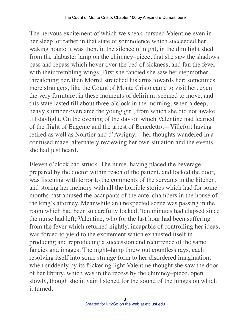The nervous excitement of which we speak pursued Valentine even in her sleep, or rather in that state of somnolence which succeeded her waking hours; it was then, in the silence of night, in the dim light shed from the alabaster lamp on the chimney–piece, that she saw the shadows pass and repass which hover over the bed of sickness, and fan the fever with their trembling wings. First she fancied she saw her stepmother threatening her, then Morrel stretched his arms towards her; sometimes mere strangers, like the Count of Monte Cristo came to visit her; even the very furniture, in these moments of delirium, seemed to move, and this state lasted till about three o'clock in the morning, when a deep, heavy slumber overcame the young girl, from which she did not awake till daylight. On the evening of the day on which Valentine had learned of the flight of Eugenie and the arrest of Benedetto,—Villefort having retired as well as Noirtier and d'Avrigny,—her thoughts wandered in a confused maze, alternately reviewing her own situation and the events she had just heard.

Eleven o'clock had struck. The nurse, having placed the beverage prepared by the doctor within reach of the patient, and locked the door, was listening with terror to the comments of the servants in the kitchen, and storing her memory with all the horrible stories which had for some months past amused the occupants of the ante–chambers in the house of the king's attorney. Meanwhile an unexpected scene was passing in the room which had been so carefully locked. Ten minutes had elapsed since the nurse had left; Valentine, who for the last hour had been suffering from the fever which returned nightly, incapable of controlling her ideas, was forced to yield to the excitement which exhausted itself in producing and reproducing a succession and recurrence of the same fancies and images. The night–lamp threw out countless rays, each resolving itself into some strange form to her disordered imagination, when suddenly by its flickering light Valentine thought she saw the door of her library, which was in the recess by the chimney–piece, open slowly, though she in vain listened for the sound of the hinges on which it turned.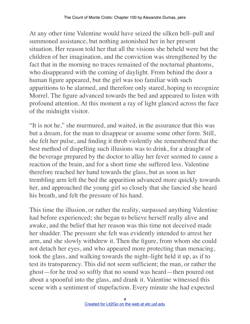At any other time Valentine would have seized the silken bell–pull and summoned assistance, but nothing astonished her in her present situation. Her reason told her that all the visions she beheld were but the children of her imagination, and the conviction was strengthened by the fact that in the morning no traces remained of the nocturnal phantoms, who disappeared with the coming of daylight. From behind the door a human figure appeared, but the girl was too familiar with such apparitions to be alarmed, and therefore only stared, hoping to recognize Morrel. The figure advanced towards the bed and appeared to listen with profound attention. At this moment a ray of light glanced across the face of the midnight visitor.

"It is not he," she murmured, and waited, in the assurance that this was but a dream, for the man to disappear or assume some other form. Still, she felt her pulse, and finding it throb violently she remembered that the best method of dispelling such illusions was to drink, for a draught of the beverage prepared by the doctor to allay her fever seemed to cause a reaction of the brain, and for a short time she suffered less. Valentine therefore reached her hand towards the glass, but as soon as her trembling arm left the bed the apparition advanced more quickly towards her, and approached the young girl so closely that she fancied she heard his breath, and felt the pressure of his hand.

This time the illusion, or rather the reality, surpassed anything Valentine had before experienced; she began to believe herself really alive and awake, and the belief that her reason was this time not deceived made her shudder. The pressure she felt was evidently intended to arrest her arm, and she slowly withdrew it. Then the figure, from whom she could not detach her eyes, and who appeared more protecting than menacing, took the glass, and walking towards the night–light held it up, as if to test its transparency. This did not seem sufficient; the man, or rather the ghost—for he trod so softly that no sound was heard—then poured out about a spoonful into the glass, and drank it. Valentine witnessed this scene with a sentiment of stupefaction. Every minute she had expected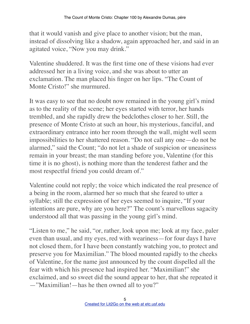that it would vanish and give place to another vision; but the man, instead of dissolving like a shadow, again approached her, and said in an agitated voice, "Now you may drink."

Valentine shuddered. It was the first time one of these visions had ever addressed her in a living voice, and she was about to utter an exclamation. The man placed his finger on her lips. "The Count of Monte Cristo!" she murmured.

It was easy to see that no doubt now remained in the young girl's mind as to the reality of the scene; her eyes started with terror, her hands trembled, and she rapidly drew the bedclothes closer to her. Still, the presence of Monte Cristo at such an hour, his mysterious, fanciful, and extraordinary entrance into her room through the wall, might well seem impossibilities to her shattered reason. "Do not call any one—do not be alarmed," said the Count; "do not let a shade of suspicion or uneasiness remain in your breast; the man standing before you, Valentine (for this time it is no ghost), is nothing more than the tenderest father and the most respectful friend you could dream of."

Valentine could not reply; the voice which indicated the real presence of a being in the room, alarmed her so much that she feared to utter a syllable; still the expression of her eyes seemed to inquire, "If your intentions are pure, why are you here?" The count's marvellous sagacity understood all that was passing in the young girl's mind.

"Listen to me," he said, "or, rather, look upon me; look at my face, paler even than usual, and my eyes, red with weariness—for four days I have not closed them, for I have been constantly watching you, to protect and preserve you for Maximilian." The blood mounted rapidly to the cheeks of Valentine, for the name just announced by the count dispelled all the fear with which his presence had inspired her. "Maximilian!" she exclaimed, and so sweet did the sound appear to her, that she repeated it —"Maximilian!—has he then owned all to you?"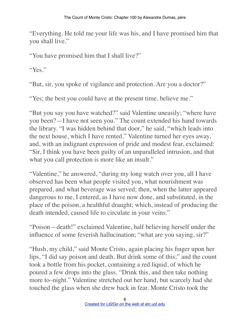"Everything. He told me your life was his, and I have promised him that you shall live."

"You have promised him that I shall live?"

"Yes."

"But, sir, you spoke of vigilance and protection. Are you a doctor?"

"Yes; the best you could have at the present time, believe me."

"But you say you have watched?" said Valentine uneasily; "where have you been?—I have not seen you." The count extended his hand towards the library. "I was hidden behind that door," he said, "which leads into the next house, which I have rented." Valentine turned her eyes away, and, with an indignant expression of pride and modest fear, exclaimed: "Sir, I think you have been guilty of an unparalleled intrusion, and that what you call protection is more like an insult."

"Valentine," he answered, "during my long watch over you, all I have observed has been what people visited you, what nourishment was prepared, and what beverage was served; then, when the latter appeared dangerous to me, I entered, as I have now done, and substituted, in the place of the poison, a healthful draught; which, instead of producing the death intended, caused life to circulate in your veins."

"Poison—death!" exclaimed Valentine, half believing herself under the influence of some feverish hallucination; "what are you saying, sir?"

"Hush, my child," said Monte Cristo, again placing his finger upon her lips, "I did say poison and death. But drink some of this;" and the count took a bottle from his pocket, containing a red liquid, of which he poured a few drops into the glass. "Drink this, and then take nothing more to–night." Valentine stretched out her hand, but scarcely had she touched the glass when she drew back in fear. Monte Cristo took the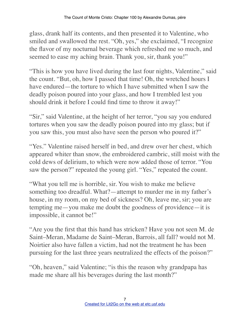glass, drank half its contents, and then presented it to Valentine, who smiled and swallowed the rest. "Oh, yes," she exclaimed, "I recognize the flavor of my nocturnal beverage which refreshed me so much, and seemed to ease my aching brain. Thank you, sir, thank you!"

"This is how you have lived during the last four nights, Valentine," said the count. "But, oh, how I passed that time! Oh, the wretched hours I have endured—the torture to which I have submitted when I saw the deadly poison poured into your glass, and how I trembled lest you should drink it before I could find time to throw it away!"

"Sir," said Valentine, at the height of her terror, "you say you endured tortures when you saw the deadly poison poured into my glass; but if you saw this, you must also have seen the person who poured it?"

"Yes." Valentine raised herself in bed, and drew over her chest, which appeared whiter than snow, the embroidered cambric, still moist with the cold dews of delirium, to which were now added those of terror. "You saw the person?" repeated the young girl. "Yes," repeated the count.

"What you tell me is horrible, sir. You wish to make me believe something too dreadful. What?—attempt to murder me in my father's house, in my room, on my bed of sickness? Oh, leave me, sir; you are tempting me—you make me doubt the goodness of providence—it is impossible, it cannot be!"

"Are you the first that this hand has stricken? Have you not seen M. de Saint–Meran, Madame de Saint–Meran, Barrois, all fall? would not M. Noirtier also have fallen a victim, had not the treatment he has been pursuing for the last three years neutralized the effects of the poison?"

"Oh, heaven," said Valentine; "is this the reason why grandpapa has made me share all his beverages during the last month?"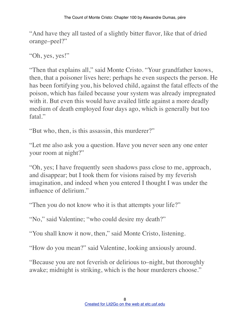"And have they all tasted of a slightly bitter flavor, like that of dried orange–peel?"

"Oh, yes, yes!"

"Then that explains all," said Monte Cristo. "Your grandfather knows, then, that a poisoner lives here; perhaps he even suspects the person. He has been fortifying you, his beloved child, against the fatal effects of the poison, which has failed because your system was already impregnated with it. But even this would have availed little against a more deadly medium of death employed four days ago, which is generally but too fatal."

"But who, then, is this assassin, this murderer?"

"Let me also ask you a question. Have you never seen any one enter your room at night?"

"Oh, yes; I have frequently seen shadows pass close to me, approach, and disappear; but I took them for visions raised by my feverish imagination, and indeed when you entered I thought I was under the influence of delirium."

"Then you do not know who it is that attempts your life?"

"No," said Valentine; "who could desire my death?"

"You shall know it now, then," said Monte Cristo, listening.

"How do you mean?" said Valentine, looking anxiously around.

"Because you are not feverish or delirious to–night, but thoroughly awake; midnight is striking, which is the hour murderers choose."